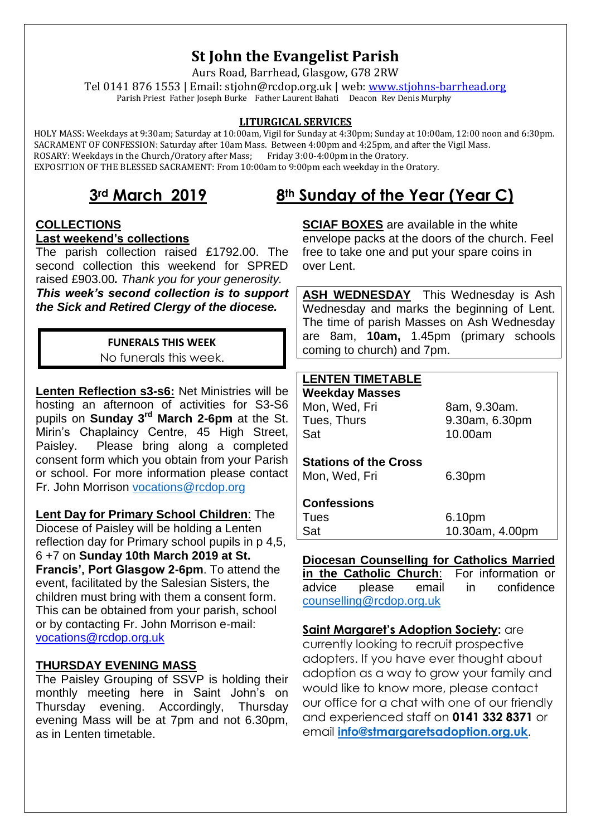# **St John the Evangelist Parish**

Aurs Road, Barrhead, Glasgow, G78 2RW Tel 0141 876 1553 | Email: stjohn@rcdop.org.uk | web: [www.stjohns-barrhead.org](http://www.stjohns-barrhead.org/) Parish Priest Father Joseph Burke Father Laurent Bahati Deacon Rev Denis Murphy

#### **LITURGICAL SERVICES**

 HOLY MASS: Weekdays at 9:30am; Saturday at 10:00am, Vigil for Sunday at 4:30pm; Sunday at 10:00am, 12:00 noon and 6:30pm. SACRAMENT OF CONFESSION: Saturday after 10am Mass. Between 4:00pm and 4:25pm, and after the Vigil Mass. ROSARY: Weekdays in the Church/Oratory after Mass; Friday 3:00-4:00pm in the Oratory. EXPOSITION OF THE BLESSED SACRAMENT: From 10:00am to 9:00pm each weekday in the Oratory.

## **3rd March 2019 8th Sunday of the Year (Year C)**

# **COLLECTIONS**

#### **Last weekend's collections**

The parish collection raised £1792.00. The second collection this weekend for SPRED raised £903.00*. Thank you for your generosity.*

*This week's second collection is to support the Sick and Retired Clergy of the diocese.*

#### **FUNERALS THIS WEEK**

No funerals this week.

**Lenten Reflection s3-s6:** Net Ministries will be hosting an afternoon of activities for S3-S6 pupils on **Sunday 3rd March 2-6pm** at the St. Mirin's Chaplaincy Centre, 45 High Street, Paisley. Please bring along a completed consent form which you obtain from your Parish or school. For more information please contact Fr. John Morrison [vocations@rcdop.org](mailto:vocations@rcdop.org)

**Lent Day for Primary School Children**: The Diocese of Paisley will be holding a Lenten reflection day for Primary school pupils in p 4,5, 6 +7 on **Sunday 10th March 2019 at St. Francis', Port Glasgow 2-6pm**. To attend the event, facilitated by the Salesian Sisters, the children must bring with them a consent form. This can be obtained from your parish, school or by contacting Fr. John Morrison e-mail: [vocations@rcdop.org.uk](mailto:vocations@rcdop.org.uk)

#### **THURSDAY EVENING MASS**

The Paisley Grouping of SSVP is holding their monthly meeting here in Saint John's on Thursday evening. Accordingly, Thursday evening Mass will be at 7pm and not 6.30pm, as in Lenten timetable.

**SCIAF BOXES** are available in the white envelope packs at the doors of the church. Feel free to take one and put your spare coins in over Lent.

**ASH WEDNESDAY** This Wednesday is Ash Wednesday and marks the beginning of Lent. The time of parish Masses on Ash Wednesday are 8am, **10am,** 1.45pm (primary schools coming to church) and 7pm.

### **LENTEN TIMETABLE**

| '''''''''''''                |                 |
|------------------------------|-----------------|
| <b>Weekday Masses</b>        |                 |
| Mon, Wed, Fri                | 8am, 9.30am.    |
| Tues, Thurs                  | 9.30am, 6.30pm  |
| Sat                          | 10.00am         |
| <b>Stations of the Cross</b> |                 |
| Mon, Wed, Fri                | 6.30pm          |
| <b>Confessions</b>           |                 |
| Tues                         | 6.10pm          |
| Sat                          | 10.30am, 4.00pm |
|                              |                 |

## **Diocesan Counselling for Catholics Married**

**in the Catholic Church**: For information or advice please email in confidence [counselling@rcdop.org.uk](mailto:counselling@rcdop.org.uk)

**Saint Margaret's Adoption Society:** are currently looking to recruit prospective adopters. If you have ever thought about adoption as a way to grow your family and would like to know more, please contact our office for a chat with one of our friendly and experienced staff on **0141 332 8371** or email **[info@stmargaretsadoption.org.uk](mailto:info@stmargaretsadoption.org.uk)**.